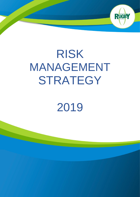# RISK MANAGEMENT **STRATEGY**

RUGBY

# 2019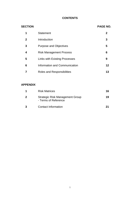# **CONTENTS**

| <b>SECTION</b> |                                      | <b>PAGE NO.</b> |
|----------------|--------------------------------------|-----------------|
| 1              | <b>Statement</b>                     | 2               |
| $\mathbf{2}$   | Introduction                         | 3               |
| 3              | <b>Purpose and Objectives</b>        | 5               |
| 4              | <b>Risk Management Process</b>       | 6               |
| 5              | <b>Links with Existing Processes</b> | 9               |
| 6              | Information and Communication        | 12              |
|                | Roles and Responsibilities           | 13              |

## **APPENDIX**

| <b>Risk Matrices</b>                                           | 16 |
|----------------------------------------------------------------|----|
| <b>Strategic Risk Management Group</b><br>- Terms of Reference | 19 |
| <b>Contact Information</b>                                     | 21 |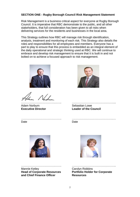#### **SECTION ONE - Rugby Borough Council Risk Management Statement**

Risk Management is a business critical aspect for everyone at Rugby Borough Council. It is imperative that RBC demonstrate to the public, and all other stakeholders, that full consideration has been given to all risks when delivering services for the residents and businesses in the local area.

This Strategy outlines how RBC will manage risk through identification, analysis, treatment and monitoring of each risk. This Strategy also details the roles and responsibilities for all employees and members. Everyone has a part to play to ensure that this process is embedded as an integral element of the daily operational and strategic thinking used at RBC. We will continue to embrace and develop risk management to ensure that it is built in and not bolted on to achieve a focused approach to risk management.



Adam Norburn Sebastian Lowe



……………………………………. ……………………………………….. **Executive Director Leader of the Council**

|   | . |
|---|---|
| ∽ |   |

……………………………………. ……………………………………..…



Mannie Ketley Carolyn Robbins **and Chief Finance Officer Resources**



……………………………………. ……………………………………….. **Head of Corporate Resources Portfolio Holder for Corporate**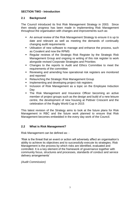#### **SECTION TWO - Introduction**

# **2.1 Background**

The Council introduced its first Risk Management Strategy in 2003. Since then steady progress has been made in implementing Risk Management throughout the organisation with changes and improvements such as:

- An annual review of the Risk Management Strategy to ensure it is up to date and relevant as well as meeting the demands of continually changing audit requirements
- **EXECT** Utilisation of new software to manage and enhance the process, such as Covalent and now the RPMS
- Regular reviews of the Strategic Risk Register by the Strategic Risk Management Group and ongoing re writing of this risk register to work alongside revised Corporate Strategies and Priorities
- Changes to the reports to Audit and Ethics Committee to meet the requirements of the committee
- Reviewing and amending how operational risk registers are monitored and reported
- **Relaunching the Strategic Risk Management Group**
- Implementing and developing project risk registers
- **EXEDENT** Inclusion of Risk Management as a topic on the Employee Induction Day
- The Risk Management and Insurance Officer becoming an active member of project groups such as the design and build of a new leisure centre, the development of new housing at Pettiver Crescent and the celebration of the Rugby World Cup in 2015

This latest revision of the Strategy aims to look at the future plans for Risk Management in RBC and the future work planned to ensure that Risk Management becomes embedded in the every day work of the Council.

# **2.2 What is Risk Management?**

Risk Management can be defined as: -

'Risk is the threat that an event or action will adversely affect an organisation's ability to achieve its objectives and to successfully execute its strategies. Risk Management is the process by which risks are identified, evaluated and controlled. It is a key element of the framework of governance together with community focus, structures and processes, standards of conduct and service delivery arrangements'

*(Audit Commission)*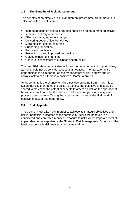#### **2.3 The Benefits of Risk Management**

The benefits of an effective Risk Management programme are numerous, a selection of the benefits are: -

- Increased focus on the action(s) that should be taken to meet objectives
- **EXECUTE:** Improved delivery of services
- **Effective management of change**
- Delivering better Value For Money
- More efficient use of resources
- Supporting innovation
- Reduced complaints
- Protection of, and improved, reputation
- Getting things right first time
- Continual assessment of business opportunities

The term Risk Management also includes the management of opportunities, as risk should not be considered just as a negative. The management of opportunities is as important as the management of risk, and we should always look to see if there is a positive outcome to any risk.

An opportunity is the chance to take a positive outcome from a risk. It is an action that could enhance the ability to achieve the objective and could be shared to maximise the potential benefits to others as well as the operational business area It could be the chance to take advantage of a new system, process or technology. Taking that action could increase the likelihood of positive impact of that opportunity.

#### **2.4 Risk Appetite**

The Council must take risks in order to achieve its strategic objectives and deliver beneficial outcomes to the community. Risks will be taken in a considered and controlled manner. Exposure to risks will be kept to a level of impact deemed acceptable by the Strategic Risk Management Group, and the level of acceptable risk may vary from time to time.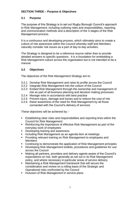## **SECTION THREE – Purpose & Objectives**

#### **3.1 Purpose**

The purpose of this Strategy is to set out Rugby Borough Council's approach to Risk Management, including outlining roles and responsibilities, reporting and communication methods and a description of the 4 stages of the Risk Management process.

It is a continuous and developing process, which ultimately aims to create a culture of risk awareness within the Council whereby staff and Members naturally consider risk issues as a part of day-to-day activities.

The Strategy is designed to be a reference source rather than to provide detailed answers to specific questions. It is a foundation for embedding a Risk Management culture across the organisation but is not intended to be a manual.

#### **3.2 Objectives**

The objectives of the Risk Management Strategy are to:

- 3.2.1 Develop Risk Management and raise its profile across the Council
- 3.2.2 Integrate Risk Management into the culture of the Council
- 3.2.3 Embed Risk Management through the ownership and management of risk as part of all business planning and decision making processes
- 3.2.4 Manage risks in accordance with best practice
- 3.2.5 Prevent injury, damage and losses and to reduce the cost of risk
- 3.2.6 Raise awareness of the need for Risk Management by all those connected with the Council's delivery of services

These objectives will be achieved by: -

- Establishing clear roles and responsibilities and reporting lines within the Council for Risk Management
- Reinforcing the importance of effective Risk Management as part of the everyday work of employees
- Developing training and awareness
- Including Risk Management as an agenda item at meetings
- Providing relevant training on Risk Management to employees and Members
- Continuing to demonstrate the application of Risk Management principles
- Developing Risk Management toolkits, procedures and guidelines for use across the Council
- Making all partners, providers and delivery agents aware of the Council's expectations on risk, both generally as set out in its Risk Management policy, and where necessary in particular areas of service delivery
- Maintaining a Risk Management framework that will secure the consideration and review on a rolling basis of the Strategic and Operational risks confronted by the Council
- Inclusion of Risk Management in service plans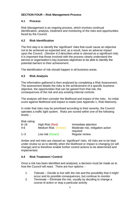# **SECTION FOUR – Risk Management Process**

#### **4.1 Process**

Risk Management is an ongoing process, which involves continual identification, analysis, treatment and monitoring of the risks and opportunities faced by the Council.

#### **4.2 Risk Identification**

The first step is to identify the 'significant' risks that could cause an objective not to be achieved as expected and, as a result, have an adverse impact upon the Council. *(Section 4.3 describes what is classed as a significant risk).*  It is important that those involved with the process clearly understand the service or organisation's key business objectives to be able to identify the potential barriers to their achievement.

The identification of risk should happen in all business areas.

#### **4.3 Risk Analysis**

The information gathered is then analysed by completing a Risk Assessment. The assessment details the risks to the achievement of a specific business objective, the opportunities that can be gained from that risk, the consequences of the risk and any existing internal controls.

The analysis will then consider the likelihood and impact of the risks. An initial score against likelihood and impact is made (see Appendix 1, Risk Matrices).

In order that risks may be prioritised according to their severity, the Council operates a traffic light system. Risks are scored within one of the following levels: -

| Risk rating: |                     |                                  |
|--------------|---------------------|----------------------------------|
| $8 - 16$     | High Risk (Red)     | Immediate attention              |
| $4 - 6$      | Medium Risk (Amber) | Moderate risk, mitigation action |
|              |                     | required                         |
| $1 - 3$      | Low risk (Green)    | <b>Regular review</b>            |

Amber and red risks are classed as *'significant'* risks. All risks are to be kept under review so as to identify when the likelihood or impact is changing (or will change) and to therefore enable further control actions to be determined and implemented.

# **4.4 Risk Treatment / Control**

Once a risk has been identified and analysed, a decision must be made as to how the Council will react. There are four options: -

- 1. *Tolerate –* Decide to live with the risk and the possibility that it might occur and its possible consequences, but continue to monitor
- 2. *Terminate –* Eliminate the risk, usually by deciding to change a course of action or stop a particular activity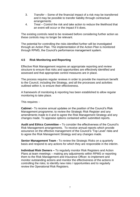- 3. *Transfer –* Some of the financial impact of a risk may be transferred and it may be possible to transfer liability through contractual arrangements
- 4. *Treat –* Control the risk and take action to reduce the likelihood that an event will occur or the impact if it does.

The existing controls need to be reviewed before considering further action as these controls may no longer be relevant.

The potential for controlling the risks identified further will be investigated through an Action Plan. The implementation of the Action Plan is monitored through RPMS, the Council's performance management system.

#### **4.5 Risk Monitoring and Reporting**

Effective Risk Management requires an appropriate reporting and review structure to ensure that risks and opportunities are effectively identified and assessed and that appropriate control measures are in place.

The process requires regular reviews in order to provide the maximum benefit to the Council, including the Strategy, and all the processes and activities outlined within it, to ensure their effectiveness.

A framework of monitoring & reporting has been established to allow regular monitoring to take place.

This requires: -

**Cabinet -** To receive annual updates on the position of the Council's Risk Management programme; to review the Strategic Risk Register and any amendments made to it and to agree the Risk Management Strategy and any changes made. To appraise options contained within submitted reports.

**Audit and Ethics Committee –** To consider the effectiveness of the Council's Risk Management arrangements. To receive annual reports which provide assurance on the effective management of the Council's 'Top Level' risks and to agree the Risk Management Strategy and any changes made.

**Senior Management Team -** To review the Strategic Risks on a quarterly basis and respond to any actions for which they are responsible in the interim.

**Individual Risk Owners –** To regularly monitor Risk Registers and Action Plans at team meetings – making any adjustments within RPMS or reporting them to the Risk Management and Insurance Officer; to implement and monitor outstanding actions and monitor the effectiveness of the actions in controlling the risks; to identify new risks / opportunities and to regularly review the Operational Risk Registers.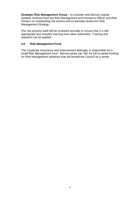**Strategic Risk Management Group –** to consider and discuss regular updates received from the Risk Management and Insurance Officer and Risk Owners on outstanding risk actions and to annually review the Risk Management Strategy.

The risk process itself will be reviewed annually to ensure that it is still appropriate and includes learning from other Authorities. Training and research can be applied.

#### **4.6 Risk Management Fund**

The Corporate Assurance and Improvement Manager is responsible for a small Risk Management fund. Service areas can 'bid' for full or partial funding for Risk Management initiatives that will benefit the Council as a whole.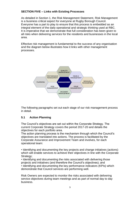#### **SECTION FIVE – Links with Existing Processes**

As detailed in Section 1, the Risk Management Statement, Risk Management is a business critical aspect for everyone at Rugby Borough Council. Everyone has a part to play to ensure that this process is embedded as an integral element of the daily operational and strategic thinking used at RBC. It is imperative that we demonstrate that full consideration has been given to all risks when delivering services for the residents and businesses in the local area.

Effective risk management is fundamental to the success of any organisation and the diagram below illustrates how it links with other management processes.



The following paragraphs set out each stage of our risk management process in detail.

# **5.1 Action Planning**

The Council's objectives are set out within the Corporate Strategy. The current Corporate Strategy covers the period 2017-20 and details the objectives for each portfolio area.

The action planning process is the mechanism through which the Council's objectives are translated into actions. The process is facilitated by the Corporate Assurance and Improvement Team and involves, for each operational team:

• Identifying and documenting the key projects and change initiatives (actions) which will enable services to achieve their objectives in line with the Corporate Strategy:

• Identifying and documenting the risks associated with delivering those projects and initiatives (and therefore the Council's objectives); and

• Identifying and documenting the key performance indicators (KPIs) which demonstrate that Council services are performing well.

Risk Owners are expected to monitor the risks associated with delivering service objectives during team meetings and as part of normal day to day business.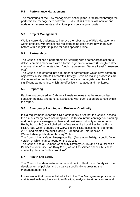# **5.2 Performance Management**

The monitoring of the Risk Management action plans is facilitated through the performance management software RPMS. Risk Owners will monitor and update risk assessments and actions plans on a regular basis.

# **5.3 Project Management**

Work is currently underway to improve the robustness of Risk Management within projects, with project risk registers being used more now than ever before with a register in place for each specific project.

#### **5.4 Partnerships**

The Council defines a partnership as "working with another organisation to deliver common objectives with a formal agreement of roles (through contract, memorandum of understanding, funding agreement, Service Level Agreement etc)".

The Council has entered into a number of partnerships which have common objectives in line with its Corporate Strategy. Decision making processes are documented for each partnership and there are risk registers in place for significant partnerships, which are effectively managed and monitored.

# **5.5 Reporting**

Each report prepared for Cabinet / Panels requires that the report writer consider the risks and benefits associated with each option presented within the report.

# **5.6 Emergency Planning and Business Continuity**

It is a requirement under the Civil Contingency's Act that the Council assess the risk of emergencies occurring and use this to inform contingency planning; and put in place emergency plans and business continuity arrangements. Rugby Borough Council chaired the Warwickshire Local Resilience Forum Risk Group which updated the Warwickshire Risk Assessment (September 2015) and created the public facing 'Preparing for Emergencies in Warwickshire' publication (January 2017).

The Council has a Major Emergency Plan (December 2016), a public facing version of which can be found on the website.

The Council has a Business Continuity Strategy (2015) and a Council wide Business Continuity Plan (May 2016) as well as service specific business continuity plans for 'critical services'.

# **5.7 Health and Safety**

The Council has demonstrated a commitment to Health and Safety with the development of policies and guidance specifically addressing the management of risk.

It is essential that the established links to the Risk Management process be maintained with emphasis on identification, analysis, treatment/control and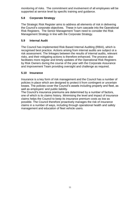monitoring of risks. The commitment and involvement of all employees will be supported at service level by specific training and guidance.

# **5.8 Corporate Strategy**

The Strategic Risk Register aims to address all elements of risk in delivering the Council's corporate objectives. These in turn cascade into the Operational Risk Registers. The Senior Management Team need to consider the Risk Management Strategy in line with the Corporate Strategy.

## **5.9 Internal Audit**

The Council has implemented Risk Based Internal Auditing (RBIA), which is recognised best practice. Actions arising from internal audits are subject ot a risk assessment. The linkages between the results of internal audits, relevant risks, and their mitigating actions is therefore enhanced. The process also facilitates more regular and timely updates of the Operational Risk Registers by Risk Owners during the course of the year with the Corporate Assurance and Improvement Team providing oversight and challenge as required.

# **5.10 Insurance**

Insurance is a key form of risk management and the Council has a number of policies in place which are designed to protect it from contingent or uncertain losses. The policies cover the Council's assets including property and fleet, as well as employers' and public liability.

The Council's insurance premiums are determined by a number of factors, one of which is its claims history. Minimising the level and impact of insurance claims helps the Council to keep its insurance premium costs as low as possible. The Council therefore proactively manages the risk of insurance claims in a number of ways, including through operational health and safety management and education of fleet vehicle users.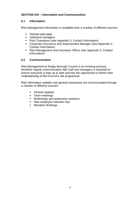#### **SECTION SIX – Information and Communication**

#### **6.1 Information**

Risk Management information is available from a number of different sources:

- Intranet web page
- Individual managers
- Risk Champions (see Appendix 3, Contact Information)
- Corporate Assurance and Improvement Manager (see Appendix 3, Contact Information)
- Risk Management and Insurance Officer (see Appendix 3, Contact Information)

#### **6.2 Communication**

Risk Management at Rugby Borough Council is an evolving process, therefore regular communication with staff and managers is essential to ensure everyone is kept up to date and has the opportunity to further their understanding of the Council's risk programme.

Risk information updates and general awareness are communicated through a number of different sources:

- **·** Intranet updates
- Team meetings
- Workshops and awareness sessions
- New employee induction day
- Members Briefings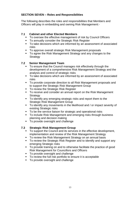#### **SECTION SEVEN – Roles and Responsibilities**

The following describes the roles and responsibilities that Members and Officers will play in embedding and owning Risk Management:-

#### **7.1 Cabinet and other Elected Members**

- To oversee the effective management of risk by Council Officers
- To annually consider the Strategic Risk Register
- To take decisions which are informed by an assessment of associated risks
- To approve overall strategic Risk Management proposals
- To agree the Risk Management Strategy and any changes to the **Strategy**

# **7.2 Senior Management Team**

- **To ensure that the Council manages risk effectively through the** development of a comprehensive Risk Management Strategy and the analysis and control of strategic risks
- To take decisions which are informed by an assessment of associated risks
- To provide corporate direction to all Risk Management proposals and to support the Strategic Risk Management Group
- To review the Strategic Risk Register
- To receive and consider an annual report on the Risk Management **Strategy**
- To identify any emerging strategic risks and report them to the Strategic Risk Management Group
- To identify any movements in the likelihood and / or impact severity of existing Strategic risks
- To be the service liaison for strategic and operational risks
- To include Risk Management and emerging risks through business planning and decision making
- To provide oversight and challenge

# **7.3 Strategic Risk Management Group**

- To support the Council and its services in the effective development, implementation and review of the Risk Management Strategy
- To review the Risk Management Strategy on an annual basis
- To review the Strategic Risk Register and to identify and support any emerging Strategic risks
- To provide training on and to otherwise facilitate the practice of good Risk Management for Councillors and Officers
- To provide oversight and challenge
- To review the full risk portfolio to ensure it is acceptable
- To provide oversight and challenge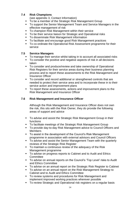#### **7.4 Risk Champions**

(see appendix 3, Contact Information)

- To be a member of the Strategic Risk Management Group
- To support the Senior Management Team and Service Managers in the effective management of risk
- To champion Risk Management within their service
- To be their service liaison for Strategic and Operational risks
- To disseminate Risk Management information
- To facilitate and encourage good Risk Management practices
- To co-ordinate the Operational Risk Assessment programme for their service

# **7.5 Service Managers**

- To manage their service whilst taking in to account all associated risks
- To consider the positive and negative aspects of risk in all decisions taken
- To consider and produce/review and take ownership of Operational Risk Registers for their service areas during their business planning process and to report these assessments to the Risk Management and Insurance Officer
- To consider and record additional or strengthened controls that are needed to protect their service area and to incorporate these in to their service action and improvement plans
- To report these assessments, actions and improvement plans to the Risk Management and Insurance Officer

# **7.6 Risk Management and Insurance Officer**

Although the Risk Management and Insurance Officer does not own the risk, this sits with the Risk Owner, they do provide the following areas of support and advice

- To advise and assist the Strategic Risk Management Group in their functions
- To facilitate meetings of the Strategic Risk Management Group
- To provide day-to-day Risk Management advice to Council Officers and **Members**
- To assist in the development of the Council's Risk Management programme in association with external advisors and Council Officers
- To advise and assist the Senior Management Team with the quarterly reviews of the Strategic Risk Register
- To maintain a continuous review of the adequacy of the Risk Management programme
- To advise on progress reports to Cabinet and to Audit and Ethics **Committee**
- To advise on annual reports on the Council's 'Top Level' risks to Audit and Ethics Committee
- To advise on an annual report on the Strategic Risk Register to Cabinet
- To advise on an annual report on the Risk Management Strategy to Cabinet and to Audit and Ethics Committee
- To review systems and procedures for Risk Management and implement improved working practices wherever possible
- To review Strategic and Operational risk registers on a regular basis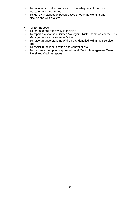- To maintain a continuous review of the adequacy of the Risk Management programme
- To identify instances of best practice through networking and discussions with brokers

# **7.7 All Employees**

- To manage risk effectively in their job
- To report risks to their Service Managers, Risk Champions or the Risk Management and Insurance Officer
- To have an understanding of the risks identified within their service area
- To assist in the identification and control of risk
- To complete the options appraisal on all Senior Management Team, Panel and Cabinet reports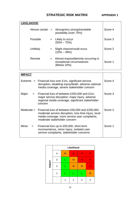# **STRATEGIC RISK MATRIX APPENDIX 1**

| <b>LIKELIHOOD</b>  |     |                                                                                 |         |
|--------------------|-----|---------------------------------------------------------------------------------|---------|
| Almost certain $=$ |     | Strong/very strong/inevitable<br>possibility (over 75%)                         | Score 4 |
| Possible           |     | $=$ Likely to occur<br>$(50\% - 75\%)$                                          | Score 3 |
| Unlikely           |     | Slight chance/could occur<br>$(10\% - 49\%)$                                    | Score 2 |
| Remote             | $=$ | Almost impossible/only occurring in<br>exceptional circumstances<br>(Below 10%) | Score 1 |

| IMPACT       |                                                                                                                                                                                                     |         |
|--------------|-----------------------------------------------------------------------------------------------------------------------------------------------------------------------------------------------------|---------|
| Extreme      | $=$ Financial loss over £1m, significant service<br>disruption, disabling injury/death, adverse national<br>media coverage, severe stakeholder concern                                              | Score 4 |
| Major<br>$=$ | Financial loss of between £250,000 and £1m,<br>major service disruption, major injury, adverse<br>regional media coverage, significant stakeholder<br>concern                                       | Score 3 |
|              | Moderate = Financial loss of between £50,000 and £250,000,<br>moderate service disruption, loss time injury, local<br>media coverage, more service user complaints,<br>moderate stakeholder concern | Score 2 |
| Minor<br>$=$ | Financial loss up to £50,000, short term<br>inconvenience, minor injury, isolated user<br>service complaints, stakeholder concerns                                                                  | Score 1 |

| Impact | Likelihood     |   |                |   |   |  |
|--------|----------------|---|----------------|---|---|--|
|        | 4              | M | н              | н | H |  |
|        | 3              |   | M              | н | Н |  |
|        | $\overline{2}$ |   | M              | M |   |  |
|        | 1              | L |                |   | M |  |
|        |                |   | $\overline{2}$ | 3 | 4 |  |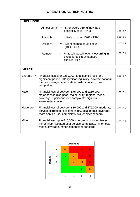# **OPERATIONAL RISK MATRIX**

| <b>LIKELIHOOD</b> |                    |                                                                                         |         |
|-------------------|--------------------|-----------------------------------------------------------------------------------------|---------|
|                   | Almost certain $=$ | Strong/very strong/inevitable<br>possibility (over 75%)                                 | Score 4 |
|                   | Possible           | Likely to occur $(50\% - 75\%)$<br>$=$                                                  | Score 3 |
|                   | Unlikely           | Slight chance/could occur<br>$=$<br>$(10\% - 49\%)$                                     | Score 2 |
|                   | Remote             | Almost impossible /only occurring in<br>$=$<br>exceptional circumstances<br>(Below 10%) | Score 1 |

| <b>IMPACT</b> |                                                                                                                                                                                                         |         |
|---------------|---------------------------------------------------------------------------------------------------------------------------------------------------------------------------------------------------------|---------|
|               | Extreme $=$ Financial loss over £250,000, total service loss for a<br>significant period, fatality/disabling injury, adverse national<br>media coverage, severe stakeholder concern, mass<br>complaints | Score 4 |
| Major<br>$=$  | Financial loss of between £75,000 and £250,000,<br>major service disruption, major injury, regional media<br>coverage, significant user complaints, significant<br>stakeholder concern                  | Score 3 |
|               | Moderate $=$ Financial loss of between £10,000 and £75,000, moderate<br>service disruption, loss time injury, local media coverage,<br>more service user complaints, stakeholder concern                | Score 2 |
| Minor<br>$=$  | Financial loss up to £10,000, short term inconvenience,<br>minor injury, isolated user service complaints, minor local<br>media coverage, minor stakeholder concerns                                    | Score 1 |

| Impact | Likelihood     |   |                |   |   |  |
|--------|----------------|---|----------------|---|---|--|
|        | 4              | M | н              | Н | н |  |
|        | 3              |   | M              | Н | н |  |
|        | $\overline{2}$ |   | M              | M | Н |  |
|        | 1              |   |                |   | M |  |
|        |                |   | $\overline{2}$ | 3 | 4 |  |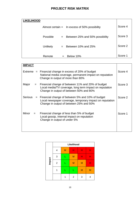# **PROJECT RISK MATRIX**

| <b>LIKELIHOOD</b> |          |     |                                                 |         |
|-------------------|----------|-----|-------------------------------------------------|---------|
|                   |          |     | Almost certain $=$ In excess of 50% possibility | Score 4 |
|                   | Possible | $=$ | Between 25% and 50% possibility                 | Score 3 |
|                   | Unlikely | $=$ | Between 10% and 25%                             | Score 2 |
|                   | Remote   |     | Below 10%                                       | Score 1 |

| <b>IMPACT</b>  |                                                                                                                                                             |         |
|----------------|-------------------------------------------------------------------------------------------------------------------------------------------------------------|---------|
| Extreme<br>$=$ | Financial change in excess of 20% of budget<br>National media coverage, permanent impact on reputation<br>Change in output of more than 80%                 | Score 4 |
| Major<br>$=$   | Financial change of between 11% and 20% of budget<br>Local media/TV coverage, long term impact on reputation<br>Change in output of between 50% and 80%     | Score 3 |
| <b>Serious</b> | $=$ Financial change of between 5% and 10% of budget<br>Local newspaper coverage, temporary impact on reputation<br>Change in output of between 25% and 50% | Score 2 |
| Minor<br>$=$   | Financial change of less than 5% of budget<br>Local gossip, internal impact on reputation<br>Change in output of under 5%                                   | Score 1 |

|        | Likelihood     |   |                |   |   |  |
|--------|----------------|---|----------------|---|---|--|
| Impact | 4              | M | н              | н |   |  |
|        | 3              | ♦ | M              | н | Н |  |
|        | $\overline{2}$ |   | M              | M | н |  |
|        |                |   | Г              | M | M |  |
|        |                | 1 | $\overline{2}$ | 3 | 4 |  |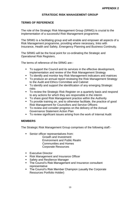#### **STRATEGIC RISK MANAGEMENT GROUP**

#### **TERMS OF REFERENCE**

The role of the Strategic Risk Management Group (SRMG) is crucial to the implementation of a successful Risk Management programme.

The SRMG is a facilitating group and will enable and empower all aspects of a Risk Management programme, providing where necessary, links with Insurance, Health and Safety, Emergency Planning and Business Continuity.

The SRMG will be the focal point for co-ordinating the Strategic and Operational Risk Registers.

The terms of reference of the SRMG are:-

- To support the Council and its services in the effective development, implementation and review of the Risk Management Strategy
- To identify and monitor key Risk Management indicators and matrices
- To produce an annual report reviewing the Risk Management Strategy to the Audit and Ethics Committee and Cabinet
- To identify and support the identification of any emerging Strategic risks
- To review the Strategic Risk Register on a quarterly basis and respond to any actions for which they are responsible in the interim
- To share good Risk Management practice within the Authority
- To provide training on, and to otherwise facilitate, the practice of good Risk Management for Councillors and Service Officers
- To review and consider progress on the delivery of the Annual Governance Statement Action Plan
- To review significant issues arising from the work of Internal Audit

#### **MEMBERS**

The Strategic Risk Management Group comprises of the following staff:-

- Senior officer representatives from:
	- Growth and Investment Environment and Public Realm Communities and Homes Corporate Resources
- **Executive Director**
- Risk Management and Insurance Officer
- Safety and Resilience Manager
- The Council's Risk Management and Insurance consultant representative
- The Council's Risk Member Champion (usually the Corporate Resources Portfolio Holder)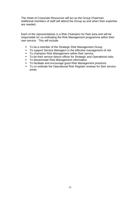The Head of Corporate Resources will act as the Group Chairman. Additional members of staff will attend the Group as and when their expertise are needed.

Each of the representatives is a Risk Champion for their area and will be responsible for co-ordinating the Risk Management programme within their own service. This will include:

- To be a member of the Strategic Risk Management Group
- To support Service Managers in the effective management of risk
- To champion Risk Management within their service
- To be their service liaison officer for Strategic and Operational risks
- To disseminate Risk Management information
- To facilitate and encourage good Risk Management practices
- To co-ordinate the Operational Risk Register reviews for their service areas